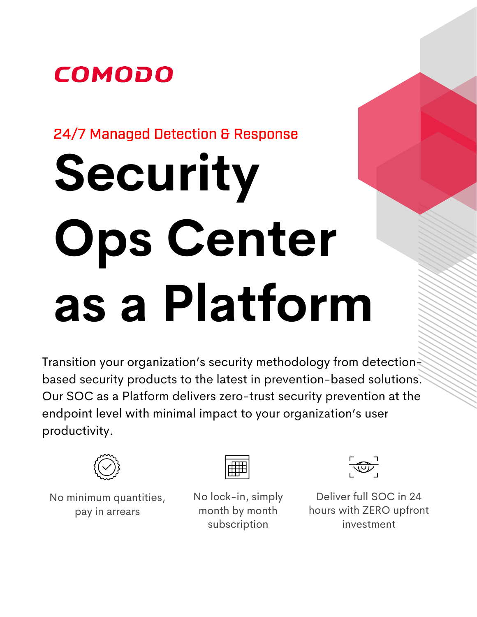#### $\overline{a}$ I

## 24/7 Managed Detection & Response

# **Security Ops Center as a Platform**

Transition your organization's security methodology from detectionbased security products to the latest in prevention-based solutions. Our SOC as a Platform delivers zero-trust security prevention at the endpoint level with minimal impact to your organization's user productivity.



No minimum quantities, pay in arrears



No lock-in, simply month by month subscription



Deliver full SOC in 24 hours with ZERO upfront investment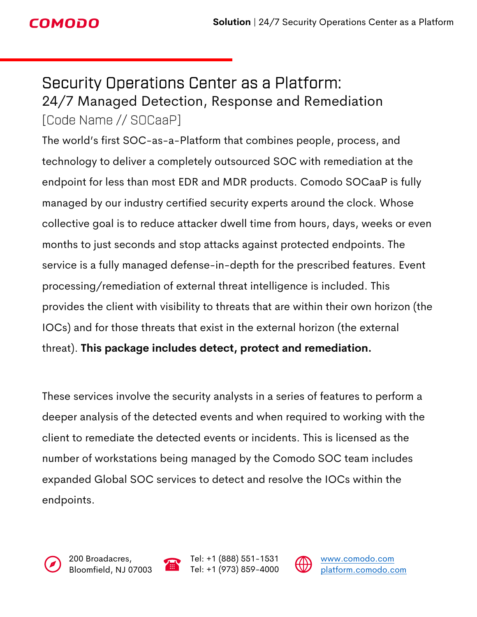## **COMODO**

## Security Operations Center as a Platform: 24/7 Managed Detection, Response and Remediation [Code Name // SOCaaP]

The world's first SOC-as-a-Platform that combines people, process, and technology to deliver a completely outsourced SOC with remediation at the endpoint for less than most EDR and MDR products. Comodo SOCaaP is fully managed by our industry certified security experts around the clock. Whose collective goal is to reduce attacker dwell time from hours, days, weeks or even months to just seconds and stop attacks against protected endpoints. The service is a fully managed defense-in-depth for the prescribed features. Event processing/remediation of external threat intelligence is included. This provides the client with visibility to threats that are within their own horizon (the IOCs) and for those threats that exist in the external horizon (the external threat). **This package includes detect, protect and remediation.**

These services involve the security analysts in a series of features to perform a deeper analysis of the detected events and when required to working with the client to remediate the detected events or incidents. This is licensed as the number of workstations being managed by the Comodo SOC team includes expanded Global SOC services to detect and resolve the IOCs within the endpoints.





Tel: +1 (888) 551-1531 Tel: +1 (973) 859-4000

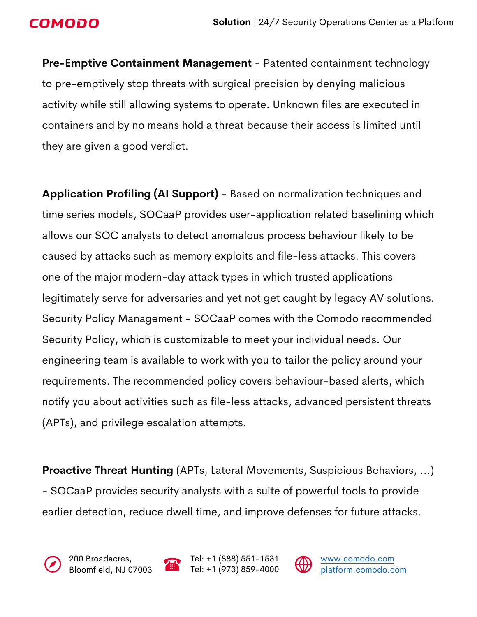

**Pre-Emptive Containment Management** - Patented containment technology to pre-emptively stop threats with surgical precision by denying malicious activity while still allowing systems to operate. Unknown files are executed in containers and by no means hold a threat because their access is limited until they are given a good verdict.

**Application Profiling (AI Support)** - Based on normalization techniques and time series models, SOCaaP provides user-application related baselining which allows our SOC analysts to detect anomalous process behaviour likely to be caused by attacks such as memory exploits and file-less attacks. This covers one of the major modern-day attack types in which trusted applications legitimately serve for adversaries and yet not get caught by legacy AV solutions. Security Policy Management - SOCaaP comes with the Comodo recommended Security Policy, which is customizable to meet your individual needs. Our engineering team is available to work with you to tailor the policy around your requirements. The recommended policy covers behaviour-based alerts, which notify you about activities such as file-less attacks, advanced persistent threats (APTs), and privilege escalation attempts.

**Proactive Threat Hunting** (APTs, Lateral Movements, Suspicious Behaviors, ...) - SOCaaP provides security analysts with a suite of powerful tools to provide earlier detection, reduce dwell time, and improve defenses for future attacks.





Tel: +1 (888) 551-1531 Tel: +1 (973) 859-4000

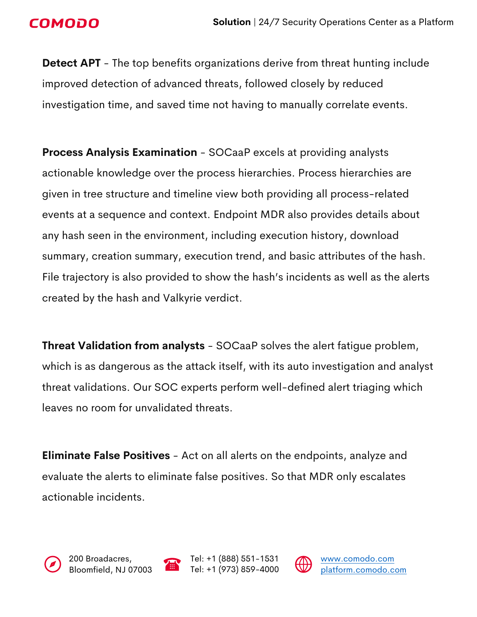### **COMODO**

**Detect APT** - The top benefits organizations derive from threat hunting include improved detection of advanced threats, followed closely by reduced investigation time, and saved time not having to manually correlate events.

**Process Analysis Examination** - SOCaaP excels at providing analysts actionable knowledge over the process hierarchies. Process hierarchies are given in tree structure and timeline view both providing all process-related events at a sequence and context. Endpoint MDR also provides details about any hash seen in the environment, including execution history, download summary, creation summary, execution trend, and basic attributes of the hash. File trajectory is also provided to show the hash's incidents as well as the alerts created by the hash and Valkyrie verdict.

**Threat Validation from analysts** - SOCaaP solves the alert fatigue problem, which is as dangerous as the attack itself, with its auto investigation and analyst threat validations. Our SOC experts perform well-defined alert triaging which leaves no room for unvalidated threats.

**Eliminate False Positives** - Act on all alerts on the endpoints, analyze and evaluate the alerts to eliminate false positives. So that MDR only escalates actionable incidents.







Tel: +1 (888) 551-1531 Tel: +1 (973) 859-4000

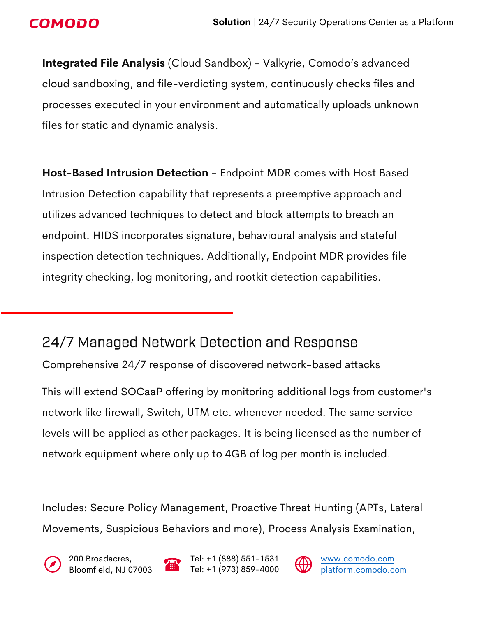### **COMODO**

**Integrated File Analysis** (Cloud Sandbox) - Valkyrie, Comodo's advanced cloud sandboxing, and file-verdicting system, continuously checks files and processes executed in your environment and automatically uploads unknown files for static and dynamic analysis.

**Host-Based Intrusion Detection** - Endpoint MDR comes with Host Based Intrusion Detection capability that represents a preemptive approach and utilizes advanced techniques to detect and block attempts to breach an endpoint. HIDS incorporates signature, behavioural analysis and stateful inspection detection techniques. Additionally, Endpoint MDR provides file integrity checking, log monitoring, and rootkit detection capabilities.

## 24/7 Managed Network Detection and Response

Comprehensive 24/7 response of discovered network-based attacks

This will extend SOCaaP offering by monitoring additional logs from customer's network like firewall, Switch, UTM etc. whenever needed. The same service levels will be applied as other packages. It is being licensed as the number of network equipment where only up to 4GB of log per month is included.

Includes: Secure Policy Management, Proactive Threat Hunting (APTs, Lateral Movements, Suspicious Behaviors and more), Process Analysis Examination,





Tel: +1 (888) 551-1531 Tel: +1 (973) 859-4000

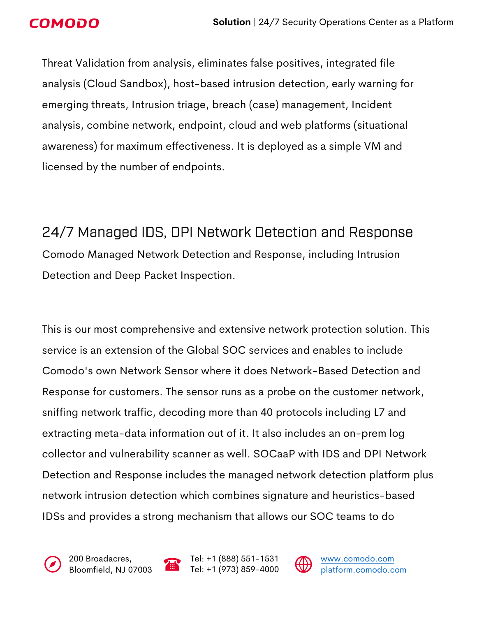

Threat Validation from analysis, eliminates false positives, integrated file analysis (Cloud Sandbox), host-based intrusion detection, early warning for emerging threats, Intrusion triage, breach (case) management, Incident analysis, combine network, endpoint, cloud and web platforms (situational awareness) for maximum effectiveness. It is deployed as a simple VM and licensed by the number of endpoints.

24/7 Managed IDS, DPI Network Detection and Response Comodo Managed Network Detection and Response, including Intrusion Detection and Deep Packet Inspection.

This is our most comprehensive and extensive network protection solution. This service is an extension of the Global SOC services and enables to include Comodo's own Network Sensor where it does Network-Based Detection and Response for customers. The sensor runs as a probe on the customer network, sniffing network traffic, decoding more than 40 protocols including L7 and extracting meta-data information out of it. It also includes an on-prem log collector and vulnerability scanner as well. SOCaaP with IDS and DPI Network Detection and Response includes the managed network detection platform plus network intrusion detection which combines signature and heuristics-based IDSs and provides a strong mechanism that allows our SOC teams to do





Tel: +1 (888) 551-1531 Tel: +1 (973) 859-4000

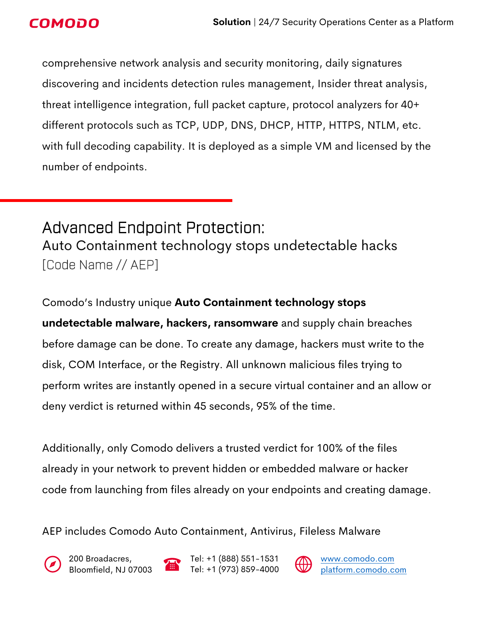comprehensive network analysis and security monitoring, daily signatures discovering and incidents detection rules management, Insider threat analysis, threat intelligence integration, full packet capture, protocol analyzers for 40+ different protocols such as TCP, UDP, DNS, DHCP, HTTP, HTTPS, NTLM, etc. with full decoding capability. It is deployed as a simple VM and licensed by the number of endpoints.

Advanced Endpoint Protection: Auto Containment technology stops undetectable hacks [Code Name // AEP]

Comodo's Industry unique **Auto Containment technology stops undetectable malware, hackers, ransomware** and supply chain breaches before damage can be done. To create any damage, hackers must write to the disk, COM Interface, or the Registry. All unknown malicious files trying to perform writes are instantly opened in a secure virtual container and an allow or deny verdict is returned within 45 seconds, 95% of the time.

Additionally, only Comodo delivers a trusted verdict for 100% of the files already in your network to prevent hidden or embedded malware or hacker code from launching from files already on your endpoints and creating damage.

AEP includes Comodo Auto Containment, Antivirus, Fileless Malware



200 Broadacres, Bloomfield, NJ 07003



Tel: +1 (888) 551-1531 Tel: +1 (973) 859-4000